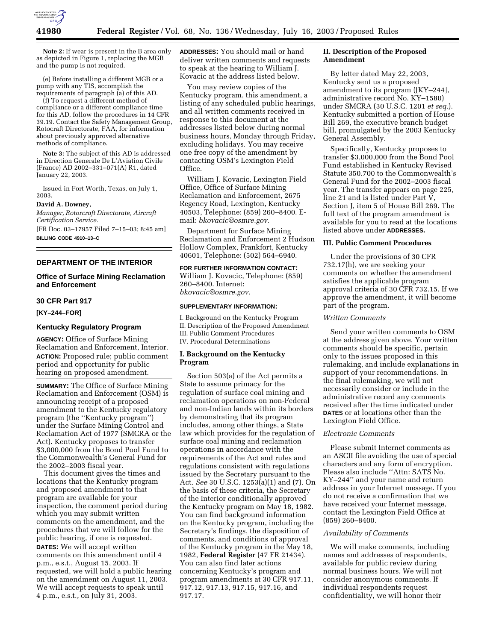

**Note 2:** If wear is present in the B area only as depicted in Figure 1, replacing the MGB and the pump is not required.

(e) Before installing a different MGB or a pump with any TIS, accomplish the requirements of paragraph (a) of this AD.

(f) To request a different method of compliance or a different compliance time for this AD, follow the procedures in 14 CFR 39.19. Contact the Safety Management Group, Rotocraft Directorate, FAA, for information about previously approved alternative methods of compliance.

**Note 3:** The subject of this AD is addressed in Direction Generale De L'Aviation Civile (France) AD 2002–331–071(A) R1, dated January 22, 2003.

Issued in Fort Worth, Texas, on July 1, 2003.

#### **David A. Downey,**

*Manager, Rotorcraft Directorate, Aircraft Certification Service.*

[FR Doc. 03–17957 Filed 7–15–03; 8:45 am] **BILLING CODE 4910–13–C**

## **DEPARTMENT OF THE INTERIOR**

## **Office of Surface Mining Reclamation and Enforcement**

#### **30 CFR Part 917**

**[KY–244–FOR]** 

#### **Kentucky Regulatory Program**

**AGENCY:** Office of Surface Mining Reclamation and Enforcement, Interior. **ACTION:** Proposed rule; public comment period and opportunity for public hearing on proposed amendment.

**SUMMARY:** The Office of Surface Mining Reclamation and Enforcement (OSM) is announcing receipt of a proposed amendment to the Kentucky regulatory program (the ''Kentucky program'') under the Surface Mining Control and Reclamation Act of 1977 (SMCRA or the Act). Kentucky proposes to transfer \$3,000,000 from the Bond Pool Fund to the Commonwealth's General Fund for the 2002–2003 fiscal year.

This document gives the times and locations that the Kentucky program and proposed amendment to that program are available for your inspection, the comment period during which you may submit written comments on the amendment, and the procedures that we will follow for the public hearing, if one is requested. **DATES:** We will accept written comments on this amendment until 4 p.m., e.s.t., August 15, 2003. If requested, we will hold a public hearing on the amendment on August 11, 2003. We will accept requests to speak until 4 p.m., e.s.t., on July 31, 2003.

**ADDRESSES:** You should mail or hand deliver written comments and requests to speak at the hearing to William J. Kovacic at the address listed below.

You may review copies of the Kentucky program, this amendment, a listing of any scheduled public hearings, and all written comments received in response to this document at the addresses listed below during normal business hours, Monday through Friday, excluding holidays. You may receive one free copy of the amendment by contacting OSM's Lexington Field Office.

William J. Kovacic, Lexington Field Office, Office of Surface Mining Reclamation and Enforcement, 2675 Regency Road, Lexington, Kentucky 40503, Telephone: (859) 260–8400. Email: *bkovacic@osmre.gov.*

Department for Surface Mining Reclamation and Enforcement 2 Hudson Hollow Complex, Frankfort, Kentucky 40601, Telephone: (502) 564–6940.

# **FOR FURTHER INFORMATION CONTACT:**

William J. Kovacic, Telephone: (859) 260–8400. Internet: *bkovacic@osmre.gov.*

#### **SUPPLEMENTARY INFORMATION:**

I. Background on the Kentucky Program II. Description of the Proposed Amendment III. Public Comment Procedures IV. Procedural Determinations

#### **I. Background on the Kentucky Program**

Section 503(a) of the Act permits a State to assume primacy for the regulation of surface coal mining and reclamation operations on non-Federal and non-Indian lands within its borders by demonstrating that its program includes, among other things, a State law which provides for the regulation of surface coal mining and reclamation operations in accordance with the requirements of the Act and rules and regulations consistent with regulations issued by the Secretary pursuant to the Act. *See* 30 U.S.C. 1253(a)(1) and (7). On the basis of these criteria, the Secretary of the Interior conditionally approved the Kentucky program on May 18, 1982. You can find background information on the Kentucky program, including the Secretary's findings, the disposition of comments, and conditions of approval of the Kentucky program in the May 18, 1982, **Federal Register** (47 FR 21434). You can also find later actions concerning Kentucky's program and program amendments at 30 CFR 917.11, 917.12, 917.13, 917.15, 917.16, and 917.17.

## **II. Description of the Proposed Amendment**

By letter dated May 22, 2003, Kentucky sent us a proposed amendment to its program ([KY–244], administrative record No. KY–1580) under SMCRA (30 U.S.C. 1201 *et seq.*). Kentucky submitted a portion of House Bill 269, the executive branch budget bill, promulgated by the 2003 Kentucky General Assembly.

Specifically, Kentucky proposes to transfer \$3,000,000 from the Bond Pool Fund established in Kentucky Revised Statute 350.700 to the Commonwealth's General Fund for the 2002–2003 fiscal year. The transfer appears on page 225, line 21 and is listed under Part V, Section J, item 5 of House Bill 269. The full text of the program amendment is available for you to read at the locations listed above under **ADDRESSES.**

#### **III. Public Comment Procedures**

Under the provisions of 30 CFR 732.17(h), we are seeking your comments on whether the amendment satisfies the applicable program approval criteria of 30 CFR 732.15. If we approve the amendment, it will become part of the program.

#### *Written Comments*

Send your written comments to OSM at the address given above. Your written comments should be specific, pertain only to the issues proposed in this rulemaking, and include explanations in support of your recommendations. In the final rulemaking, we will not necessarily consider or include in the administrative record any comments received after the time indicated under **DATES** or at locations other than the Lexington Field Office.

#### *Electronic Comments*

Please submit Internet comments as an ASCII file avoiding the use of special characters and any form of encryption. Please also include ''Attn: SATS No. KY–244'' and your name and return address in your Internet message. If you do not receive a confirmation that we have received your Internet message, contact the Lexington Field Office at (859) 260–8400.

## *Availability of Comments*

We will make comments, including names and addresses of respondents, available for public review during normal business hours. We will not consider anonymous comments. If individual respondents request confidentiality, we will honor their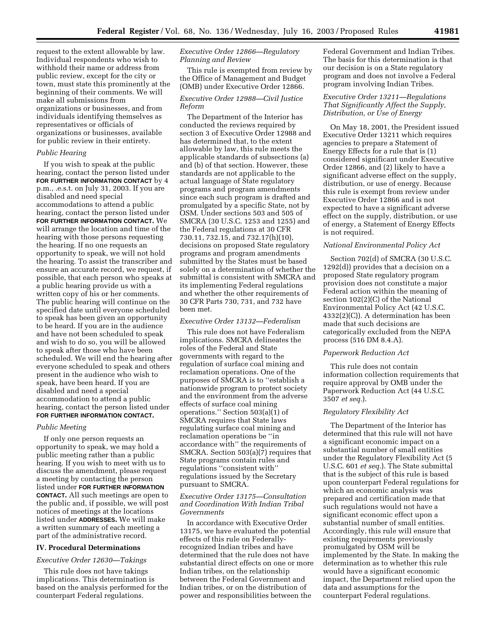request to the extent allowable by law. Individual respondents who wish to withhold their name or address from public review, except for the city or town, must state this prominently at the beginning of their comments. We will make all submissions from organizations or businesses, and from individuals identifying themselves as representatives or officials of organizations or businesses, available for public review in their entirety.

#### *Public Hearing*

If you wish to speak at the public hearing, contact the person listed under **FOR FURTHER INFORMATION CONTACT** by 4 p.m., .e.s.t. on July 31, 2003. If you are disabled and need special accommodations to attend a public hearing, contact the person listed under **FOR FURTHER INFORMATION CONTACT.** We will arrange the location and time of the hearing with those persons requesting the hearing. If no one requests an opportunity to speak, we will not hold the hearing. To assist the transcriber and ensure an accurate record, we request, if possible, that each person who speaks at a public hearing provide us with a written copy of his or her comments. The public hearing will continue on the specified date until everyone scheduled to speak has been given an opportunity to be heard. If you are in the audience and have not been scheduled to speak and wish to do so, you will be allowed to speak after those who have been scheduled. We will end the hearing after everyone scheduled to speak and others present in the audience who wish to speak, have been heard. If you are disabled and need a special accommodation to attend a public hearing, contact the person listed under **FOR FURTHER INFORMATION CONTACT.**

## *Public Meeting*

If only one person requests an opportunity to speak, we may hold a public meeting rather than a public hearing. If you wish to meet with us to discuss the amendment, please request a meeting by contacting the person listed under **FOR FURTHER INFORMATION CONTACT.** All such meetings are open to the public and, if possible, we will post notices of meetings at the locations listed under **ADDRESSES.** We will make a written summary of each meeting a part of the administrative record.

#### **IV. Procedural Determinations**

*Executive Order 12630—Takings* 

This rule does not have takings implications. This determination is based on the analysis performed for the counterpart Federal regulations.

# *Executive Order 12866—Regulatory Planning and Review*

This rule is exempted from review by the Office of Management and Budget (OMB) under Executive Order 12866.

## *Executive Order 12988—Civil Justice Reform*

The Department of the Interior has conducted the reviews required by section 3 of Executive Order 12988 and has determined that, to the extent allowable by law, this rule meets the applicable standards of subsections (a) and (b) of that section. However, these standards are not applicable to the actual language of State regulatory programs and program amendments since each such program is drafted and promulgated by a specific State, not by OSM. Under sections 503 and 505 of SMCRA (30 U.S.C. 1253 and 1255) and the Federal regulations at 30 CFR 730.11, 732.15, and 732.17(h)(10), decisions on proposed State regulatory programs and program amendments submitted by the States must be based solely on a determination of whether the submittal is consistent with SMCRA and its implementing Federal regulations and whether the other requirements of 30 CFR Parts 730, 731, and 732 have been met.

## *Executive Order 13132—Federalism*

This rule does not have Federalism implications. SMCRA delineates the roles of the Federal and State governments with regard to the regulation of surface coal mining and reclamation operations. One of the purposes of SMCRA is to ''establish a nationwide program to protect society and the environment from the adverse effects of surface coal mining operations.'' Section 503(a)(1) of SMCRA requires that State laws regulating surface coal mining and reclamation operations be ''in accordance with'' the requirements of SMCRA. Section 503(a)(7) requires that State programs contain rules and regulations ''consistent with'' regulations issued by the Secretary pursuant to SMCRA.

#### *Executive Order 13175—Consultation and Coordination With Indian Tribal Governments*

In accordance with Executive Order 13175, we have evaluated the potential effects of this rule on Federallyrecognized Indian tribes and have determined that the rule does not have substantial direct effects on one or more Indian tribes, on the relationship between the Federal Government and Indian tribes, or on the distribution of power and responsibilities between the

Federal Government and Indian Tribes. The basis for this determination is that our decision is on a State regulatory program and does not involve a Federal program involving Indian Tribes.

## *Executive Order 13211—Regulations That Significantly Affect the Supply, Distribution, or Use of Energy*

On May 18, 2001, the President issued Executive Order 13211 which requires agencies to prepare a Statement of Energy Effects for a rule that is (1) considered significant under Executive Order 12866, and (2) likely to have a significant adverse effect on the supply, distribution, or use of energy. Because this rule is exempt from review under Executive Order 12866 and is not expected to have a significant adverse effect on the supply, distribution, or use of energy, a Statement of Energy Effects is not required.

## *National Environmental Policy Act*

Section 702(d) of SMCRA (30 U.S.C. 1292(d)) provides that a decision on a proposed State regulatory program provision does not constitute a major Federal action within the meaning of section 102(2)(C) of the National Environmental Policy Act (42 U.S.C. 4332(2)(C)). A determination has been made that such decisions are categorically excluded from the NEPA process (516 DM 8.4.A).

## *Paperwork Reduction Act*

This rule does not contain information collection requirements that require approval by OMB under the Paperwork Reduction Act (44 U.S.C. 3507 *et seq.*).

#### *Regulatory Flexibility Act*

The Department of the Interior has determined that this rule will not have a significant economic impact on a substantial number of small entities under the Regulatory Flexibility Act (5 U.S.C. 601 *et seq.*). The State submittal that is the subject of this rule is based upon counterpart Federal regulations for which an economic analysis was prepared and certification made that such regulations would not have a significant economic effect upon a substantial number of small entities. Accordingly, this rule will ensure that existing requirements previously promulgated by OSM will be implemented by the State. In making the determination as to whether this rule would have a significant economic impact, the Department relied upon the data and assumptions for the counterpart Federal regulations.